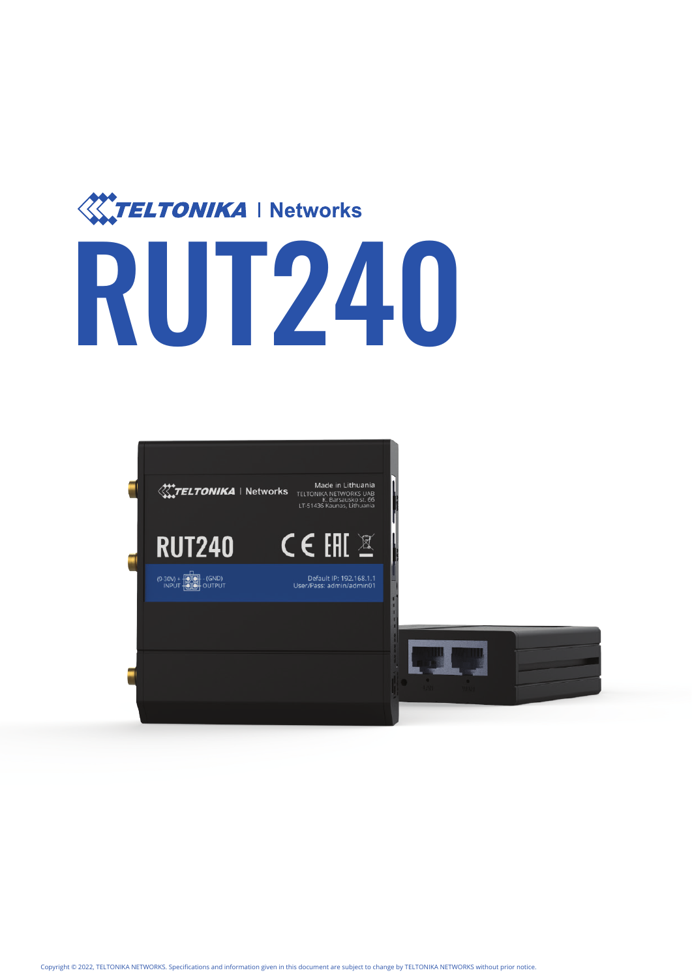

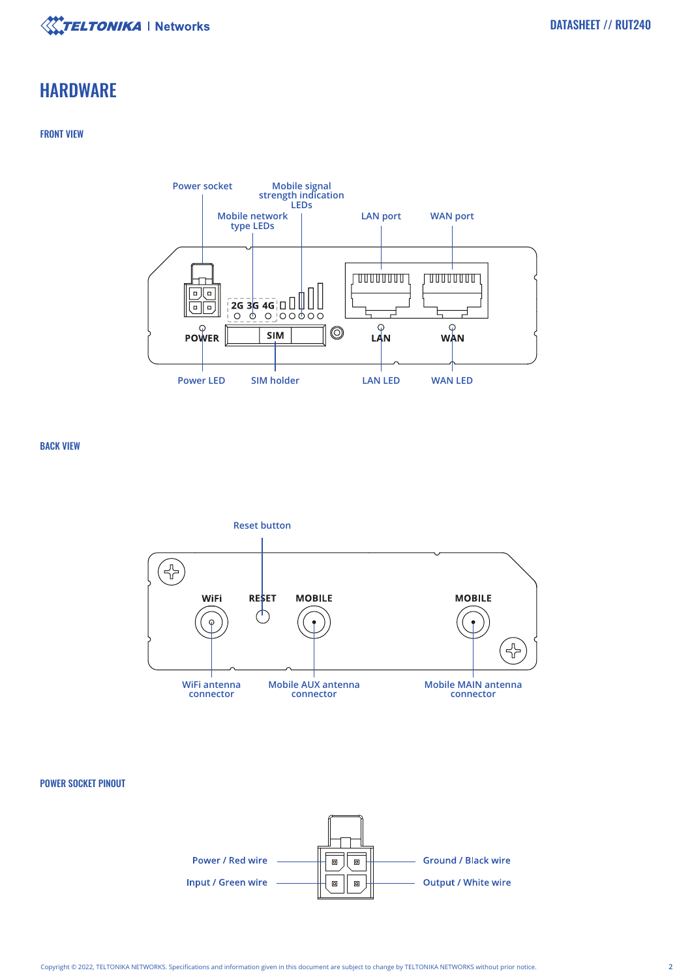

# **HARDWARE**

# FRONT VIEW



BACK VIEW



# POWER SOCKET PINOUT

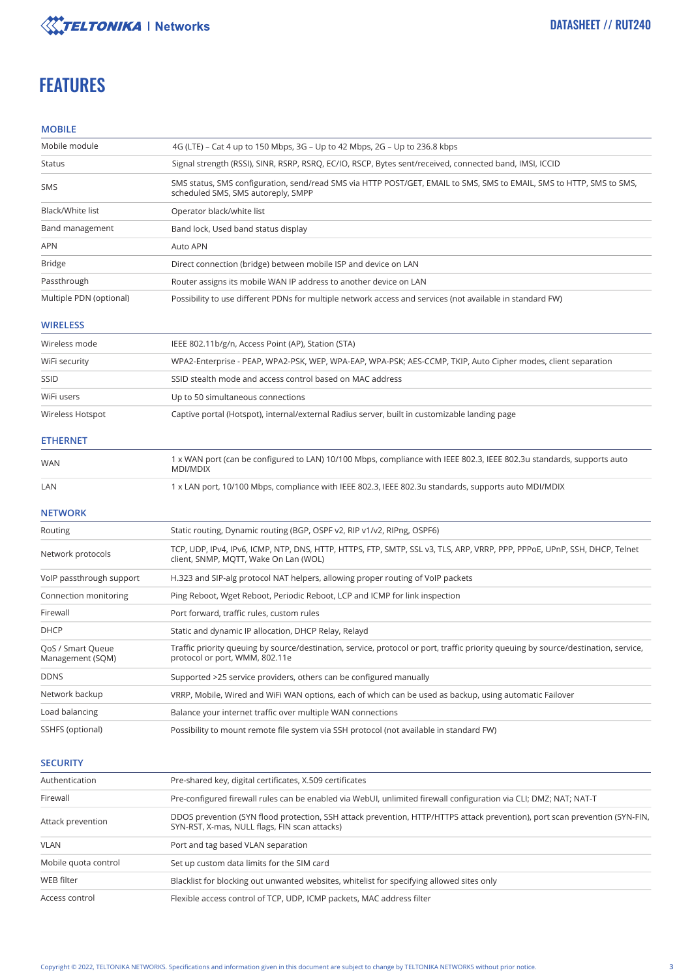

# **FEATURES**

## **MOBILE**

| Mobile module           | 4G (LTE) – Cat 4 up to 150 Mbps, 3G – Up to 42 Mbps, 2G – Up to 236.8 kbps                                                                                 |
|-------------------------|------------------------------------------------------------------------------------------------------------------------------------------------------------|
| Status                  | Signal strength (RSSI), SINR, RSRP, RSRQ, EC/IO, RSCP, Bytes sent/received, connected band, IMSI, ICCID                                                    |
| <b>SMS</b>              | SMS status, SMS configuration, send/read SMS via HTTP POST/GET, EMAIL to SMS, SMS to EMAIL, SMS to HTTP, SMS to SMS,<br>scheduled SMS, SMS autoreply, SMPP |
| Black/White list        | Operator black/white list                                                                                                                                  |
| Band management         | Band lock, Used band status display                                                                                                                        |
| <b>APN</b>              | Auto APN                                                                                                                                                   |
| <b>Bridge</b>           | Direct connection (bridge) between mobile ISP and device on LAN                                                                                            |
| Passthrough             | Router assigns its mobile WAN IP address to another device on LAN                                                                                          |
| Multiple PDN (optional) | Possibility to use different PDNs for multiple network access and services (not available in standard FW)                                                  |

## **WIRELESS**

| Wireless mode    | IEEE 802.11b/g/n, Access Point (AP), Station (STA)                                                            |
|------------------|---------------------------------------------------------------------------------------------------------------|
| WiFi security    | WPA2-Enterprise - PEAP, WPA2-PSK, WEP, WPA-EAP, WPA-PSK; AES-CCMP, TKIP, Auto Cipher modes, client separation |
| SSID             | SSID stealth mode and access control based on MAC address                                                     |
| WiFi users       | Up to 50 simultaneous connections                                                                             |
| Wireless Hotspot | Captive portal (Hotspot), internal/external Radius server, built in customizable landing page                 |

### **ETHERNET**

| <b>WAN</b> | 1 x WAN port (can be configured to LAN) 10/100 Mbps, compliance with IEEE 802.3, IEEE 802.3u standards, supports auto<br>MDI/MDIX |
|------------|-----------------------------------------------------------------------------------------------------------------------------------|
| LAN        | 1 x LAN port, 10/100 Mbps, compliance with IEEE 802.3, IEEE 802.3u standards, supports auto MDI/MDIX                              |

### **NETWORK**

| Routing                               | Static routing, Dynamic routing (BGP, OSPF v2, RIP v1/v2, RIPng, OSPF6)                                                                                               |
|---------------------------------------|-----------------------------------------------------------------------------------------------------------------------------------------------------------------------|
| Network protocols                     | TCP, UDP, IPv4, IPv6, ICMP, NTP, DNS, HTTP, HTTPS, FTP, SMTP, SSL v3, TLS, ARP, VRRP, PPP, PPPoE, UPnP, SSH, DHCP, Telnet<br>client, SNMP, MQTT, Wake On Lan (WOL)    |
| VoIP passthrough support              | H.323 and SIP-alg protocol NAT helpers, allowing proper routing of VoIP packets                                                                                       |
| Connection monitoring                 | Ping Reboot, Wget Reboot, Periodic Reboot, LCP and ICMP for link inspection                                                                                           |
| Firewall                              | Port forward, traffic rules, custom rules                                                                                                                             |
| <b>DHCP</b>                           | Static and dynamic IP allocation, DHCP Relay, Relayd                                                                                                                  |
| QoS / Smart Queue<br>Management (SQM) | Traffic priority queuing by source/destination, service, protocol or port, traffic priority queuing by source/destination, service,<br>protocol or port, WMM, 802.11e |
| <b>DDNS</b>                           | Supported >25 service providers, others can be configured manually                                                                                                    |
| Network backup                        | VRRP, Mobile, Wired and WiFi WAN options, each of which can be used as backup, using automatic Failover                                                               |
| Load balancing                        | Balance your internet traffic over multiple WAN connections                                                                                                           |
| SSHFS (optional)                      | Possibility to mount remote file system via SSH protocol (not available in standard FW)                                                                               |

### **SECURITY**

| Authentication       | Pre-shared key, digital certificates, X.509 certificates                                                                                                                     |
|----------------------|------------------------------------------------------------------------------------------------------------------------------------------------------------------------------|
| Firewall             | Pre-configured firewall rules can be enabled via WebUI, unlimited firewall configuration via CLI; DMZ; NAT-T                                                                 |
| Attack prevention    | DDOS prevention (SYN flood protection, SSH attack prevention, HTTP/HTTPS attack prevention), port scan prevention (SYN-FIN,<br>SYN-RST, X-mas, NULL flags, FIN scan attacks) |
| <b>VLAN</b>          | Port and tag based VLAN separation                                                                                                                                           |
| Mobile quota control | Set up custom data limits for the SIM card                                                                                                                                   |
| WEB filter           | Blacklist for blocking out unwanted websites, whitelist for specifying allowed sites only                                                                                    |
| Access control       | Flexible access control of TCP, UDP, ICMP packets, MAC address filter                                                                                                        |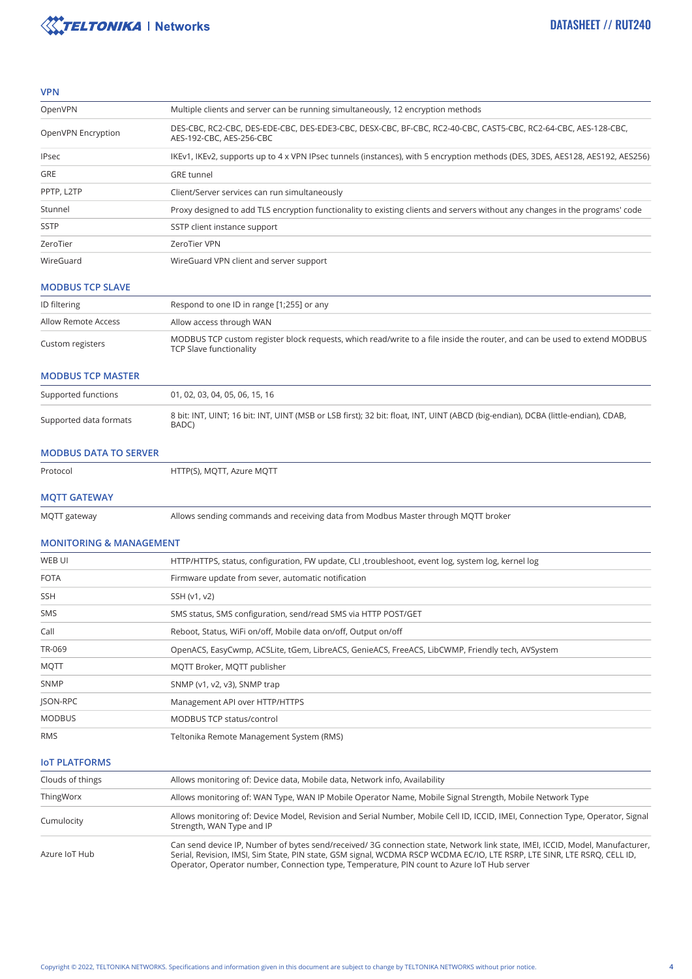

#### **VPN**

| OpenVPN            | Multiple clients and server can be running simultaneously, 12 encryption methods                                                           |
|--------------------|--------------------------------------------------------------------------------------------------------------------------------------------|
| OpenVPN Encryption | DES-CBC, RC2-CBC, DES-EDE-CBC, DES-EDE3-CBC, DESX-CBC, BF-CBC, RC2-40-CBC, CAST5-CBC, RC2-64-CBC, AES-128-CBC,<br>AES-192-CBC, AES-256-CBC |
| <b>IPsec</b>       | IKEv1, IKEv2, supports up to 4 x VPN IPsec tunnels (instances), with 5 encryption methods (DES, 3DES, AES128, AES192, AES256)              |
| <b>GRE</b>         | <b>GRE</b> tunnel                                                                                                                          |
| PPTP, L2TP         | Client/Server services can run simultaneously                                                                                              |
| Stunnel            | Proxy designed to add TLS encryption functionality to existing clients and servers without any changes in the programs' code               |
| <b>SSTP</b>        | SSTP client instance support                                                                                                               |
| ZeroTier           | ZeroTier VPN                                                                                                                               |
| WireGuard          | WireGuard VPN client and server support                                                                                                    |

#### **MODBUS TCP SLAVE**

| ID filtering        | Respond to one ID in range [1;255] or any                                                                                                            |
|---------------------|------------------------------------------------------------------------------------------------------------------------------------------------------|
| Allow Remote Access | Allow access through WAN                                                                                                                             |
| Custom registers    | MODBUS TCP custom register block requests, which read/write to a file inside the router, and can be used to extend MODBUS<br>TCP Slave functionality |

### **MODBUS TCP MASTER**

| Supported functions    | 01, 02, 03, 04, 05, 06, 15, 16                                                                                                            |
|------------------------|-------------------------------------------------------------------------------------------------------------------------------------------|
| Supported data formats | 8 bit: INT, UINT; 16 bit: INT, UINT (MSB or LSB first); 32 bit: float, INT, UINT (ABCD (big-endian), DCBA (little-endian), CDAB,<br>BADC) |

#### **MODBUS DATA TO SERVER**

Protocol

HTTP(S), MQTT, Azure MQTT

### **MQTT GATEWAY**

MQTT gateway

Allows sending commands and receiving data from Modbus Master through MQTT broker

## **MONITORING & MANAGEMENT**

| WEB UI        | HTTP/HTTPS, status, configuration, FW update, CLI, troubleshoot, event log, system log, kernel log |
|---------------|----------------------------------------------------------------------------------------------------|
| <b>FOTA</b>   | Firmware update from sever, automatic notification                                                 |
| <b>SSH</b>    | SSH (v1, v2)                                                                                       |
| SMS           | SMS status, SMS configuration, send/read SMS via HTTP POST/GET                                     |
| Call          | Reboot, Status, WiFi on/off, Mobile data on/off, Output on/off                                     |
| TR-069        | OpenACS, EasyCwmp, ACSLite, tGem, LibreACS, GenieACS, FreeACS, LibCWMP, Friendly tech, AVSystem    |
| <b>MQTT</b>   | MQTT Broker, MQTT publisher                                                                        |
| <b>SNMP</b>   | SNMP (v1, v2, v3), SNMP trap                                                                       |
| JSON-RPC      | Management API over HTTP/HTTPS                                                                     |
| <b>MODBUS</b> | <b>MODBUS TCP status/control</b>                                                                   |
| <b>RMS</b>    | Teltonika Remote Management System (RMS)                                                           |

### **IoT PLATFORMS**

| Clouds of things | Allows monitoring of: Device data, Mobile data, Network info, Availability                                                                                                                                                                                                                                                                             |
|------------------|--------------------------------------------------------------------------------------------------------------------------------------------------------------------------------------------------------------------------------------------------------------------------------------------------------------------------------------------------------|
| ThingWorx        | Allows monitoring of: WAN Type, WAN IP Mobile Operator Name, Mobile Signal Strength, Mobile Network Type                                                                                                                                                                                                                                               |
| Cumulocity       | Allows monitoring of: Device Model, Revision and Serial Number, Mobile Cell ID, ICCID, IMEI, Connection Type, Operator, Signal<br>Strength, WAN Type and IP                                                                                                                                                                                            |
| Azure IoT Hub    | Can send device IP, Number of bytes send/received/3G connection state, Network link state, IMEI, ICCID, Model, Manufacturer,<br>Serial, Revision, IMSI, Sim State, PIN state, GSM signal, WCDMA RSCP WCDMA EC/IO, LTE RSRP, LTE SINR, LTE RSRO, CELL ID,<br>Operator, Operator number, Connection type, Temperature, PIN count to Azure IoT Hub server |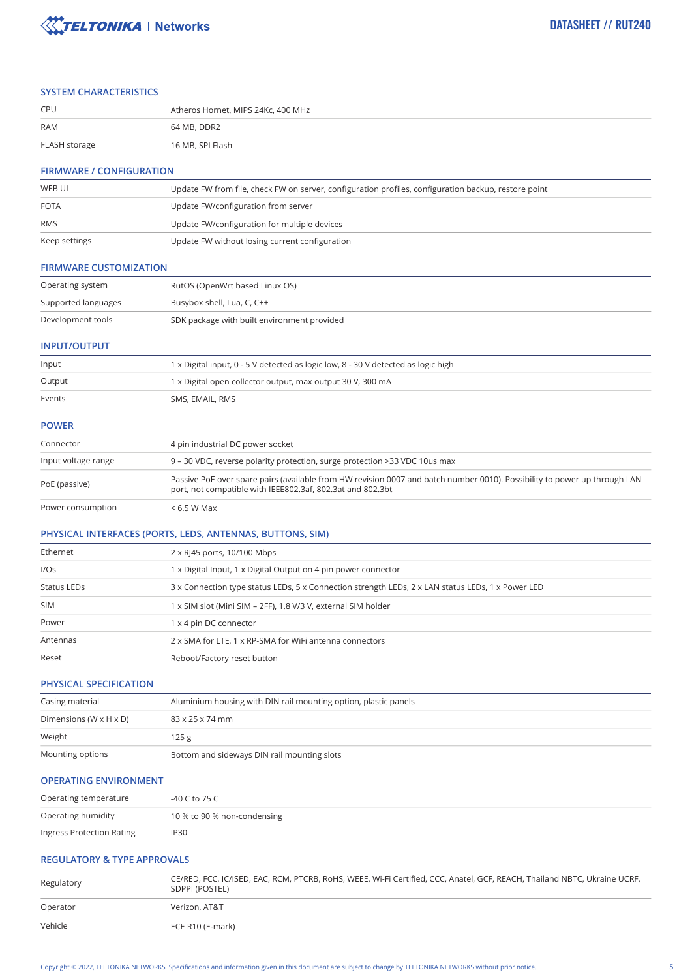

### **SYSTEM CHARACTERISTICS**

| <b>CPU</b>    | Atheros Hornet, MIPS 24Kc, 400 MHz |
|---------------|------------------------------------|
| <b>RAM</b>    | 64 MB. DDR2                        |
| FLASH storage | 16 MB, SPI Flash                   |

### **FIRMWARE / CONFIGURATION**

| WEB UI        | Update FW from file, check FW on server, configuration profiles, configuration backup, restore point |
|---------------|------------------------------------------------------------------------------------------------------|
| <b>FOTA</b>   | Update FW/configuration from server                                                                  |
| <b>RMS</b>    | Update FW/configuration for multiple devices                                                         |
| Keep settings | Update FW without losing current configuration                                                       |

#### **FIRMWARE CUSTOMIZATION**

| Operating system    | RutOS (OpenWrt based Linux OS)              |  |
|---------------------|---------------------------------------------|--|
| Supported languages | Busybox shell, Lua, C, C++                  |  |
| Development tools   | SDK package with built environment provided |  |

#### **INPUT/OUTPUT**

|                           | <b>B</b> and the Bilbert Control of the Construction of the <b>AAAD</b> and the state of the <b>AAAN</b> B and the state of the state of the AME. |  |
|---------------------------|---------------------------------------------------------------------------------------------------------------------------------------------------|--|
| Input voltage range       | 9 – 30 VDC, reverse polarity protection, surge protection > 33 VDC 10us max                                                                       |  |
| Connector                 | 4 pin industrial DC power socket                                                                                                                  |  |
| <b>POWER</b>              |                                                                                                                                                   |  |
| Events<br>SMS, EMAIL, RMS |                                                                                                                                                   |  |
| Output                    | 1 x Digital open collector output, max output 30 V, 300 mA                                                                                        |  |
| Input                     | 1 x Digital input, 0 - 5 V detected as logic low, 8 - 30 V detected as logic high                                                                 |  |
|                           |                                                                                                                                                   |  |

| PoE (passive) | Passive PoE over spare pairs (available from HW revision 0007 and batch number 0010). Possibility to power up through LAN<br>port, not compatible with IEEE802.3af, 802.3at and 802.3bt |
|---------------|-----------------------------------------------------------------------------------------------------------------------------------------------------------------------------------------|
|               |                                                                                                                                                                                         |

Power consumption  $< 6.5 W$  Max

### **PHYSICAL INTERFACES (PORTS, LEDS, ANTENNAS, BUTTONS, SIM)**

| Ethernet    | 2 x RJ45 ports, 10/100 Mbps                                                                       |  |  |
|-------------|---------------------------------------------------------------------------------------------------|--|--|
| I/OS        | 1 x Digital Input, 1 x Digital Output on 4 pin power connector                                    |  |  |
| Status LEDs | 3 x Connection type status LEDs, 5 x Connection strength LEDs, 2 x LAN status LEDs, 1 x Power LED |  |  |
| <b>SIM</b>  | x SIM slot (Mini SIM – 2FF), 1.8 V/3 V, external SIM holder                                       |  |  |
| Power       | 1 x 4 pin DC connector                                                                            |  |  |
| Antennas    | 2 x SMA for LTE, 1 x RP-SMA for WiFi antenna connectors                                           |  |  |
| Reset       | Reboot/Factory reset button                                                                       |  |  |

### **PHYSICAL SPECIFICATION**

| Casing material                      | Aluminium housing with DIN rail mounting option, plastic panels |  |
|--------------------------------------|-----------------------------------------------------------------|--|
| Dimensions (W $\times$ H $\times$ D) | 83 x 25 x 74 mm                                                 |  |
| Weight                               | 125 g                                                           |  |
| Mounting options                     | Bottom and sideways DIN rail mounting slots                     |  |

### **OPERATING ENVIRONMENT**

| Operating temperature     | -40 C to 75 C               |  |
|---------------------------|-----------------------------|--|
| Operating humidity        | 10 % to 90 % non-condensing |  |
| Ingress Protection Rating | IP30                        |  |

# **REGULATORY & TYPE APPROVALS**

| Regulatory | CE/RED, FCC, IC/ISED, EAC, RCM, PTCRB, RoHS, WEEE, Wi-Fi Certified, CCC, Anatel, GCF, REACH, Thailand NBTC, Ukraine UCRF,<br>SDPPI (POSTEL) |  |
|------------|---------------------------------------------------------------------------------------------------------------------------------------------|--|
| Operator   | Verizon, AT&T                                                                                                                               |  |
| Vehicle    | ECE R10 (E-mark)                                                                                                                            |  |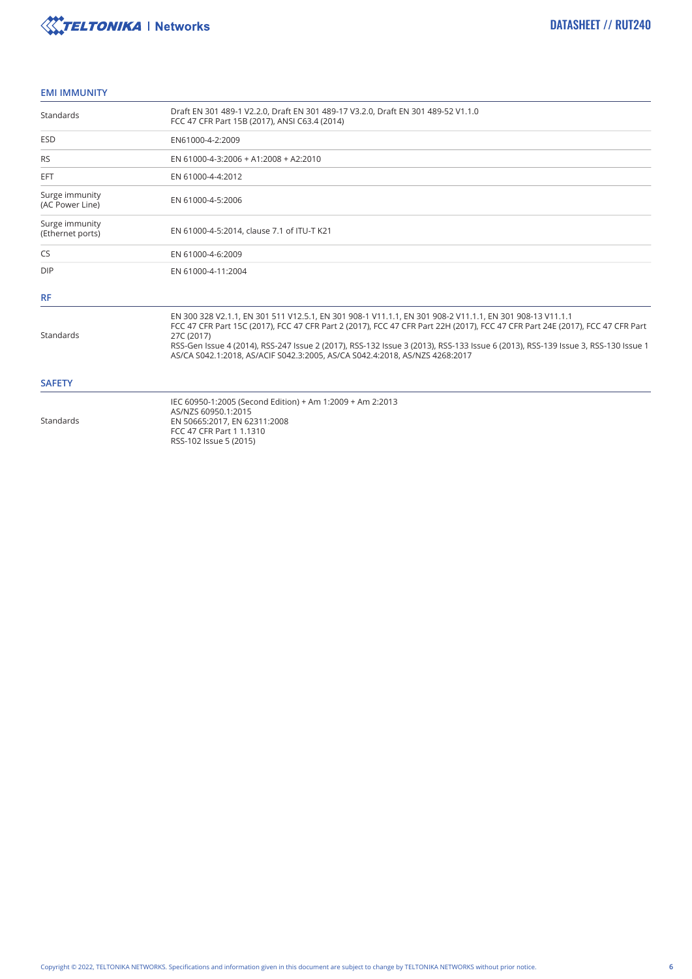

### **EMI IMMUNITY**

| Standards                                                                                                                                                                           | Draft EN 301 489-1 V2.2.0, Draft EN 301 489-17 V3.2.0, Draft EN 301 489-52 V1.1.0<br>FCC 47 CFR Part 15B (2017), ANSI C63.4 (2014)                                                                                                                                                                                                                                                                                                                                         |  |  |  |
|-------------------------------------------------------------------------------------------------------------------------------------------------------------------------------------|----------------------------------------------------------------------------------------------------------------------------------------------------------------------------------------------------------------------------------------------------------------------------------------------------------------------------------------------------------------------------------------------------------------------------------------------------------------------------|--|--|--|
| <b>ESD</b>                                                                                                                                                                          | EN61000-4-2:2009                                                                                                                                                                                                                                                                                                                                                                                                                                                           |  |  |  |
| <b>RS</b>                                                                                                                                                                           | EN 61000-4-3:2006 + A1:2008 + A2:2010                                                                                                                                                                                                                                                                                                                                                                                                                                      |  |  |  |
| <b>EFT</b>                                                                                                                                                                          | EN 61000-4-4:2012                                                                                                                                                                                                                                                                                                                                                                                                                                                          |  |  |  |
| Surge immunity<br>(AC Power Line)                                                                                                                                                   | EN 61000-4-5:2006                                                                                                                                                                                                                                                                                                                                                                                                                                                          |  |  |  |
| Surge immunity<br>EN 61000-4-5:2014, clause 7.1 of ITU-T K21<br>(Ethernet ports)                                                                                                    |                                                                                                                                                                                                                                                                                                                                                                                                                                                                            |  |  |  |
| CS                                                                                                                                                                                  | EN 61000-4-6:2009                                                                                                                                                                                                                                                                                                                                                                                                                                                          |  |  |  |
| <b>DIP</b>                                                                                                                                                                          | EN 61000-4-11:2004                                                                                                                                                                                                                                                                                                                                                                                                                                                         |  |  |  |
| <b>RF</b>                                                                                                                                                                           |                                                                                                                                                                                                                                                                                                                                                                                                                                                                            |  |  |  |
| Standards                                                                                                                                                                           | EN 300 328 V2.1.1, EN 301 511 V12.5.1, EN 301 908-1 V11.1.1, EN 301 908-2 V11.1.1, EN 301 908-13 V11.1.1<br>FCC 47 CFR Part 15C (2017), FCC 47 CFR Part 2 (2017), FCC 47 CFR Part 22H (2017), FCC 47 CFR Part 24E (2017), FCC 47 CFR Part<br>27C (2017)<br>RSS-Gen Issue 4 (2014), RSS-247 Issue 2 (2017), RSS-132 Issue 3 (2013), RSS-133 Issue 6 (2013), RSS-139 Issue 3, RSS-130 Issue 1<br>AS/CA S042.1:2018. AS/ACIF S042.3:2005. AS/CA S042.4:2018. AS/NZS 4268:2017 |  |  |  |
| <b>SAFETY</b>                                                                                                                                                                       |                                                                                                                                                                                                                                                                                                                                                                                                                                                                            |  |  |  |
| IEC 60950-1:2005 (Second Edition) + Am 1:2009 + Am 2:2013<br>AS/NZS 60950.1:2015<br>Standards<br>EN 50665:2017, EN 62311:2008<br>FCC 47 CFR Part 1 1.1310<br>RSS-102 Issue 5 (2015) |                                                                                                                                                                                                                                                                                                                                                                                                                                                                            |  |  |  |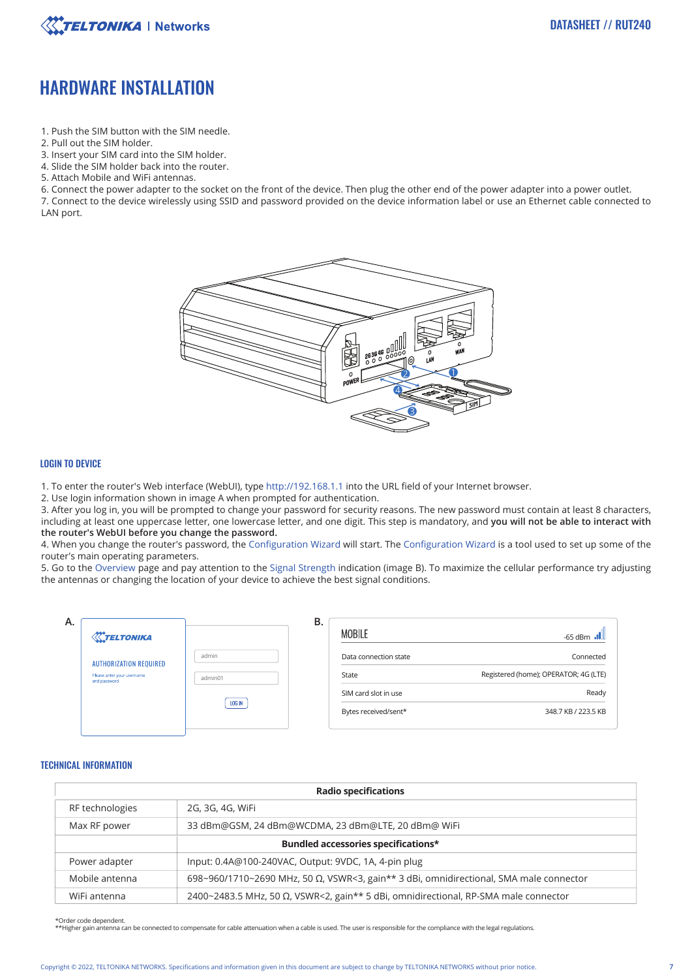

# HARDWARE INSTALLATION

- 1. Push the SIM button with the SIM needle.
- 2. Pull out the SIM holder.
- 3. Insert your SIM card into the SIM holder.
- 4. Slide the SIM holder back into the router.
- 5. Attach Mobile and WiFi antennas.
- 6. Connect the power adapter to the socket on the front of the device. Then plug the other end of the power adapter into a power outlet.

7. Connect to the device wirelessly using SSID and password provided on the device information label or use an Ethernet cable connected to LAN port.



### LOGIN TO DEVICE

1. To enter the router's Web interface (WebUI), type http://192.168.1.1 into the URL field of your Internet browser.

2. Use login information shown in image A when prompted for authentication.

3. After you log in, you will be prompted to change your password for security reasons. The new password must contain at least 8 characters, including at least one uppercase letter, one lowercase letter, and one digit. This step is mandatory, and **you will not be able to interact with the router's WebUI before you change the password.**

4. When you change the router's password, the Configuration Wizard will start. The Configuration Wizard is a tool used to set up some of the router's main operating parameters.

5. Go to the Overview page and pay attention to the Signal Strength indication (image B). To maximize the cellular performance try adjusting the antennas or changing the location of your device to achieve the best signal conditions.

| Α. | <b>X</b> TELTONIKA                                                          |                  | В. | <b>MOBILE</b>                                | -65 dBm                                            |
|----|-----------------------------------------------------------------------------|------------------|----|----------------------------------------------|----------------------------------------------------|
|    | <b>AUTHORIZATION REQUIRED</b><br>Please anter your username<br>and password | admin<br>admin01 |    | Data connection state<br>State               | Connected<br>Registered (home); OPERATOR; 4G (LTE) |
|    |                                                                             | LOG IN           |    | SIM card slot in use<br>Bytes received/sent* | Ready<br>348.7 KB / 223.5 KB                       |
|    |                                                                             |                  |    |                                              |                                                    |

#### TECHNICAL INFORMATION

| <b>Radio specifications</b> |                                                                                                |  |  |
|-----------------------------|------------------------------------------------------------------------------------------------|--|--|
| RF technologies             | 2G, 3G, 4G, WiFi                                                                               |  |  |
| Max RF power                | 33 dBm@GSM, 24 dBm@WCDMA, 23 dBm@LTE, 20 dBm@ WiFi                                             |  |  |
|                             | Bundled accessories specifications*                                                            |  |  |
| Power adapter               | Input: 0.4A@100-240VAC, Output: 9VDC, 1A, 4-pin plug                                           |  |  |
| Mobile antenna              | 698~960/1710~2690 MHz, 50 $\Omega$ , VSWR<3, gain** 3 dBi, omnidirectional, SMA male connector |  |  |
| WiFi antenna                | 2400~2483.5 MHz, 50 $\Omega$ , VSWR<2, gain** 5 dBi, omnidirectional, RP-SMA male connector    |  |  |

\*Order code dependent.

\*\*Higher gain antenna can be connected to compensate for cable attenuation when a cable is used. The user is responsible for the compliance with the legal regulations.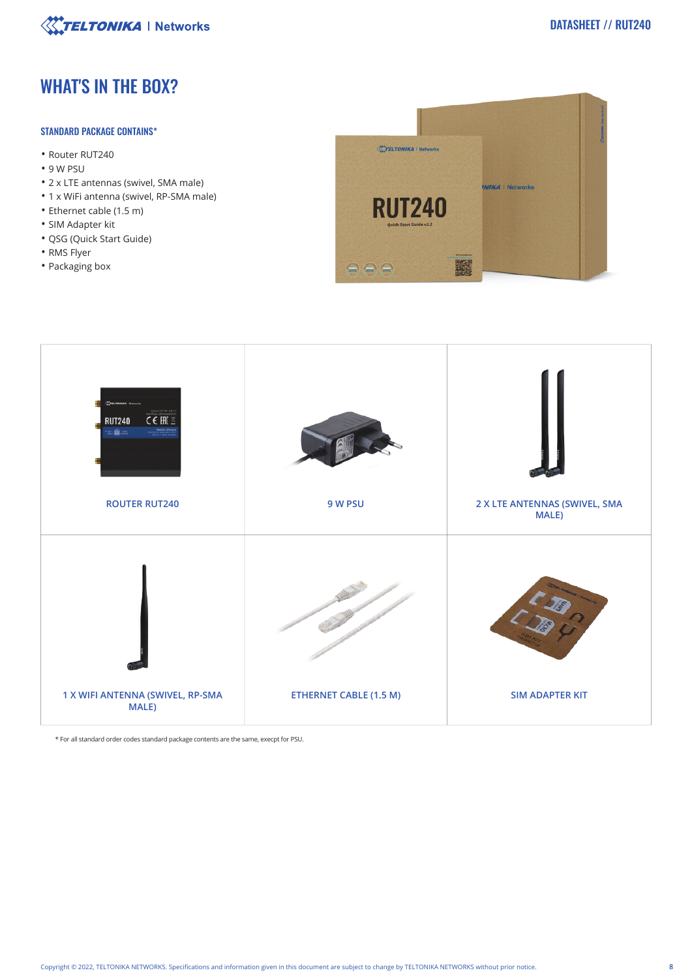

# WHAT'S IN THE BOX?

# STANDARD PACKAGE CONTAINS\*

- Router RUT240
- 9 W PSU
- 2 x LTE antennas (swivel, SMA male)
- 1 x WiFi antenna (swivel, RP-SMA male)
- Ethernet cable (1.5 m)
- SIM Adapter kit
- QSG (Quick Start Guide)
- RMS Flyer
- Packaging box





\* For all standard order codes standard package contents are the same, execpt for PSU.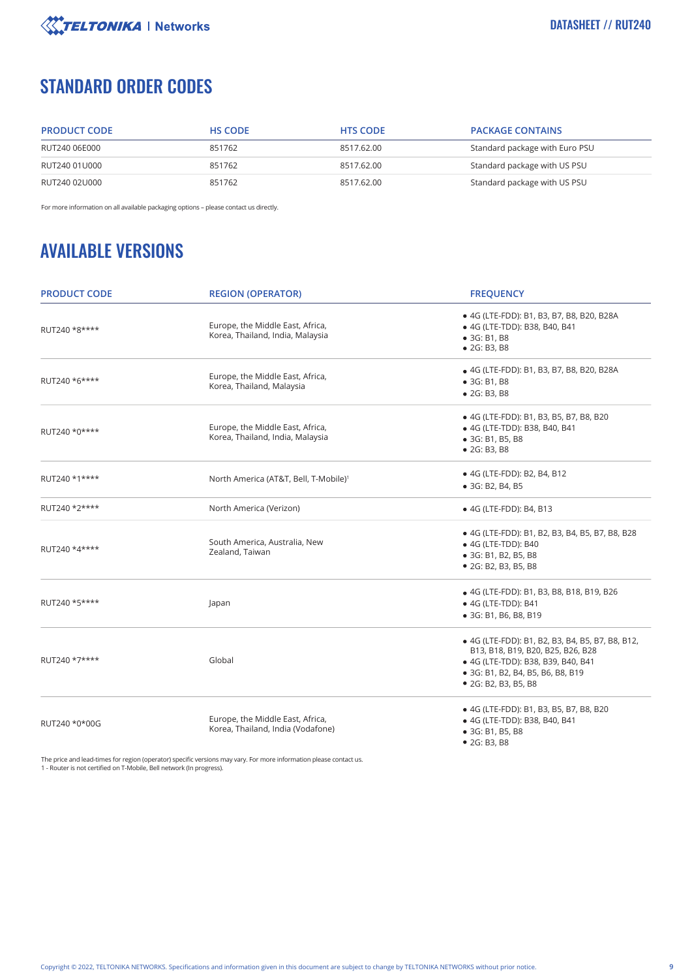

# STANDARD ORDER CODES

| <b>PRODUCT CODE</b> | <b>HS CODE</b> | <b>HTS CODE</b> | <b>PACKAGE CONTAINS</b>        |
|---------------------|----------------|-----------------|--------------------------------|
| RUT240 06E000       | 851762         | 8517.62.00      | Standard package with Euro PSU |
| RUT240 01U000       | 851762         | 8517.62.00      | Standard package with US PSU   |
| RUT240 02U000       | 851762         | 8517.62.00      | Standard package with US PSU   |

For more information on all available packaging options – please contact us directly.

# AVAILABLE VERSIONS

| <b>PRODUCT CODE</b>                                               | <b>REGION (OPERATOR)</b>                                              | <b>FREQUENCY</b>                                                                                                                                                                         |  |
|-------------------------------------------------------------------|-----------------------------------------------------------------------|------------------------------------------------------------------------------------------------------------------------------------------------------------------------------------------|--|
| RUT240 *8****                                                     | Europe, the Middle East, Africa,<br>Korea, Thailand, India, Malaysia  | • 4G (LTE-FDD): B1, B3, B7, B8, B20, B28A<br>• 4G (LTE-TDD): B38, B40, B41<br>• 3G: B1, B8<br>• 2G: B3, B8                                                                               |  |
| RUT240 *6****                                                     | Europe, the Middle East, Africa,<br>Korea, Thailand, Malaysia         | • 4G (LTE-FDD): B1, B3, B7, B8, B20, B28A<br>• 3G: B1, B8<br>• 2G: B3, B8                                                                                                                |  |
| RUT240 *0****                                                     | Europe, the Middle East, Africa,<br>Korea, Thailand, India, Malaysia  | • 4G (LTE-FDD): B1, B3, B5, B7, B8, B20<br>• 4G (LTE-TDD): B38, B40, B41<br>• 3G: B1, B5, B8<br>• 2G: B3, B8                                                                             |  |
| RUT240 *1****                                                     | North America (AT&T, Bell, T-Mobile) <sup>1</sup>                     | • 4G (LTE-FDD): B2, B4, B12<br>• 3G: B2, B4, B5                                                                                                                                          |  |
| RUT240 *2****                                                     | North America (Verizon)                                               | • 4G (LTE-FDD): B4, B13                                                                                                                                                                  |  |
| South America, Australia, New<br>RUT240 *4****<br>Zealand, Taiwan |                                                                       | • 4G (LTE-FDD): B1, B2, B3, B4, B5, B7, B8, B28<br>• 4G (LTE-TDD): B40<br>• 3G: B1, B2, B5, B8<br>• 2G: B2, B3, B5, B8                                                                   |  |
| RUT240 *5****                                                     | Japan                                                                 | • 4G (LTE-FDD): B1, B3, B8, B18, B19, B26<br>• 4G (LTE-TDD): B41<br>• 3G: B1, B6, B8, B19                                                                                                |  |
| RUT240 *7****                                                     | Global                                                                | • 4G (LTE-FDD): B1, B2, B3, B4, B5, B7, B8, B12,<br>B13, B18, B19, B20, B25, B26, B28<br>• 4G (LTE-TDD): B38, B39, B40, B41<br>• 3G: B1, B2, B4, B5, B6, B8, B19<br>• 2G: B2, B3, B5, B8 |  |
| RUT240 *0*00G                                                     | Europe, the Middle East, Africa,<br>Korea, Thailand, India (Vodafone) | • 4G (LTE-FDD): B1, B3, B5, B7, B8, B20<br>• 4G (LTE-TDD): B38, B40, B41<br>• 3G: B1, B5, B8<br>• 2G: B3, B8                                                                             |  |

The price and lead-times for region (operator) specific versions may vary. For more information please contact us. 1 - Router is not certified on T-Mobile, Bell network (In progress).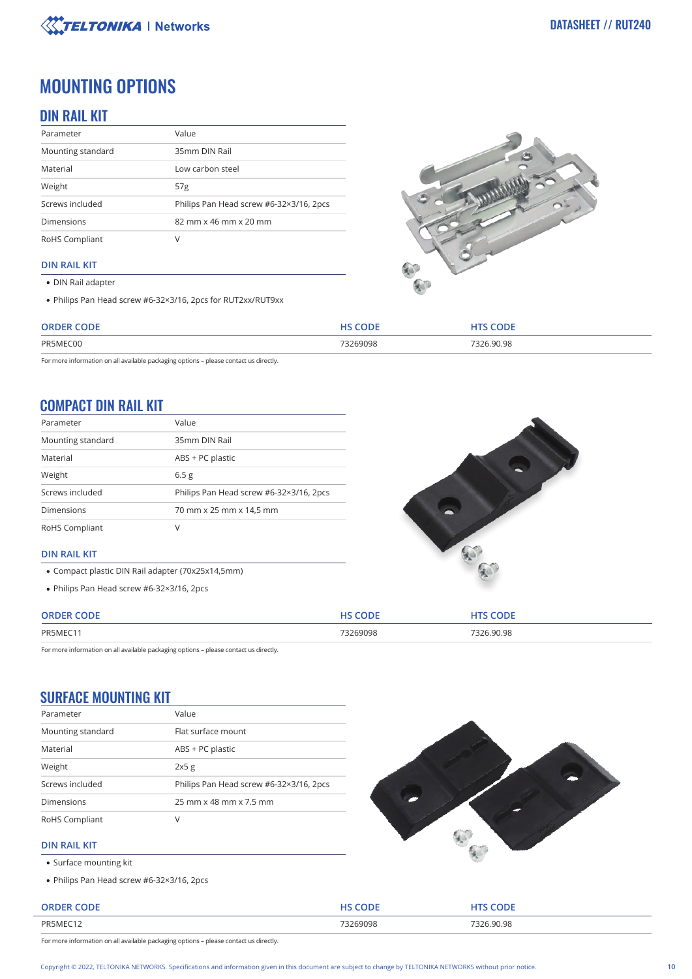

# MOUNTING OPTIONS

# DIN RAIL KIT

| Parameter         | Value                                   |  |
|-------------------|-----------------------------------------|--|
| Mounting standard | 35mm DIN Rail                           |  |
| Material          | Low carbon steel                        |  |
| Weight            | 57 <sub>g</sub>                         |  |
| Screws included   | Philips Pan Head screw #6-32×3/16, 2pcs |  |
| <b>Dimensions</b> | 82 mm x 46 mm x 20 mm                   |  |
| RoHS Compliant    |                                         |  |

# **DIN RAIL KIT**

- DIN Rail adapter
- Philips Pan Head screw #6-32×3/16, 2pcs for RUT2xx/RUT9xx



| CODE<br><b>ODDEI</b> | C<br>HC. | $C$ $D$ $E$ |
|----------------------|----------|-------------|
| PR5MEC00             | 73269098 | .90.98      |
|                      | .        | .           |

For more information on all available packaging options – please contact us directly.

# COMPACT DIN RAIL KIT

| Parameter         | Value                                   |
|-------------------|-----------------------------------------|
| Mounting standard | 35mm DIN Rail                           |
| Material          | ABS + PC plastic                        |
| Weight            | 6.5 <sub>g</sub>                        |
| Screws included   | Philips Pan Head screw #6-32×3/16, 2pcs |
| <b>Dimensions</b> | 70 mm x 25 mm x 14,5 mm                 |
| RoHS Compliant    | V                                       |



# **DIN RAIL KIT**

- Compact plastic DIN Rail adapter (70x25x14,5mm)
- Philips Pan Head screw #6-32×3/16, 2pcs

| <b>ORDER</b> | COPE     | <b>ODE</b> |
|--------------|----------|------------|
| PR5MEC11     | 73269098 | 7326.90.98 |

For more information on all available packaging options – please contact us directly.

# SURFACE MOUNTING KIT

| Parameter         | Value                                   |
|-------------------|-----------------------------------------|
| Mounting standard | Flat surface mount                      |
| Material          | ABS + PC plastic                        |
| Weight            | 2x5g                                    |
| Screws included   | Philips Pan Head screw #6-32×3/16, 2pcs |
| <b>Dimensions</b> | 25 mm x 48 mm x 7.5 mm                  |
| RoHS Compliant    | V                                       |



### **DIN RAIL KIT**

- Surface mounting kit
- Philips Pan Head screw #6-32×3/16, 2pcs

| <b>ORDER CODE</b> | UC CODE<br>ノレヒ | <b>CODE</b> |
|-------------------|----------------|-------------|
| PR5MEC12          | 73269098       | 7326.90.98  |
|                   | .              | .           |

For more information on all available packaging options – please contact us directly.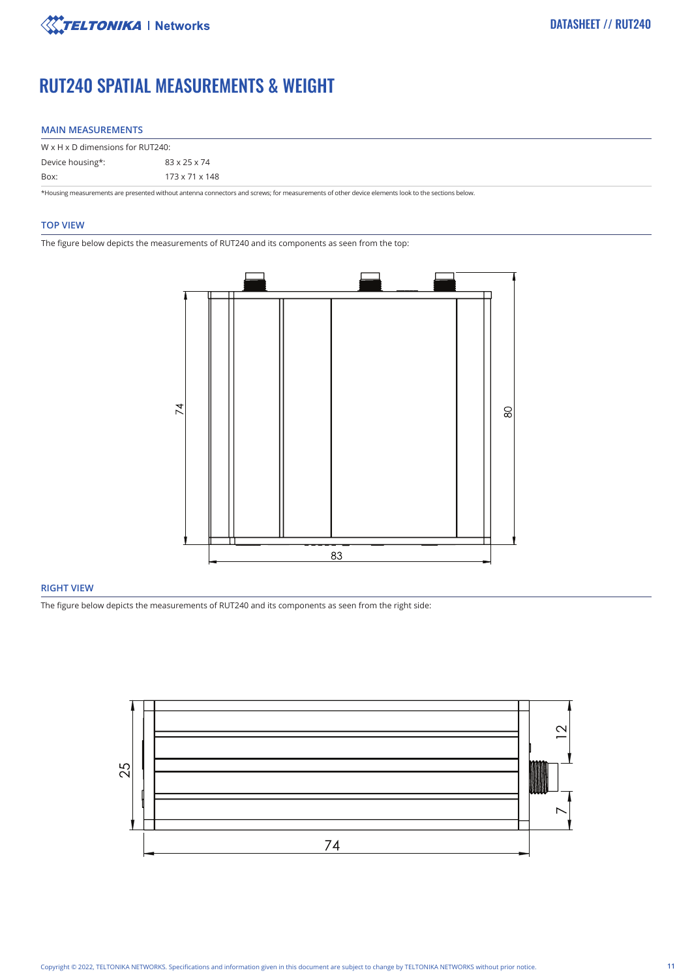

# RUT240 SPATIAL MEASUREMENTS & WEIGHT

### **MAIN MEASUREMENTS**

| $W \times H \times D$ dimensions for RUT240: |                                                                                                                                                  |
|----------------------------------------------|--------------------------------------------------------------------------------------------------------------------------------------------------|
| Device housing*:                             | 83 x 25 x 74                                                                                                                                     |
| Box:                                         | $173 \times 71 \times 148$                                                                                                                       |
|                                              | *Housing measurements are presented without antenna connectors and screws; for measurements of other device elements look to the sections below. |

#### **TOP VIEW**

The figure below depicts the measurements of RUT240 and its components as seen from the top:



# **RIGHT VIEW**

The figure below depicts the measurements of RUT240 and its components as seen from the right side:

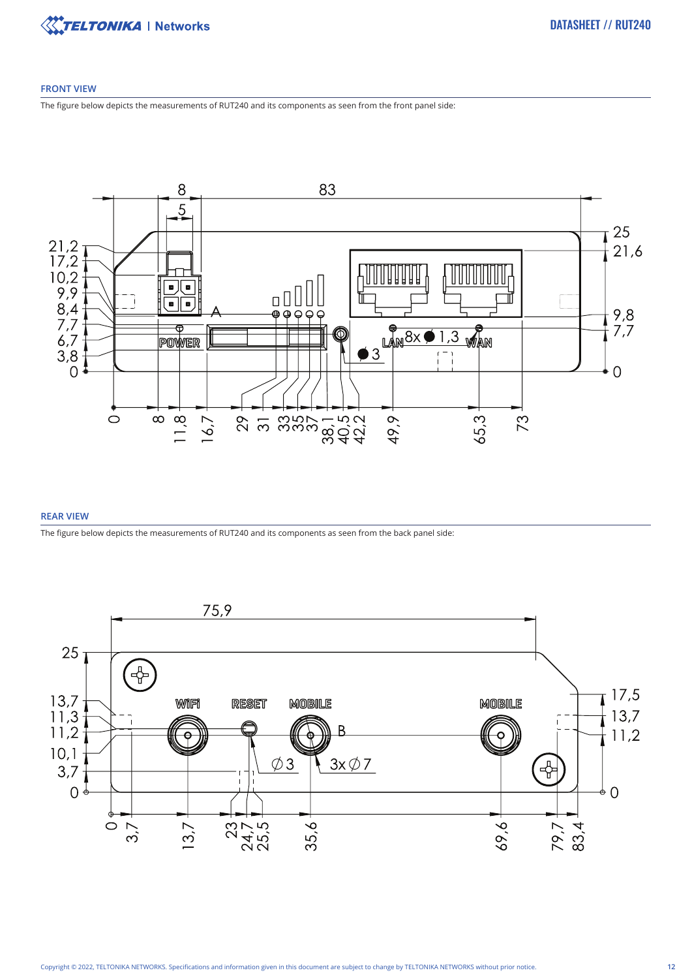

### **FRONT VIEW**

The figure below depicts the measurements of RUT240 and its components as seen from the front panel side:



### **REAR VIEW**

The figure below depicts the measurements of RUT240 and its components as seen from the back panel side:

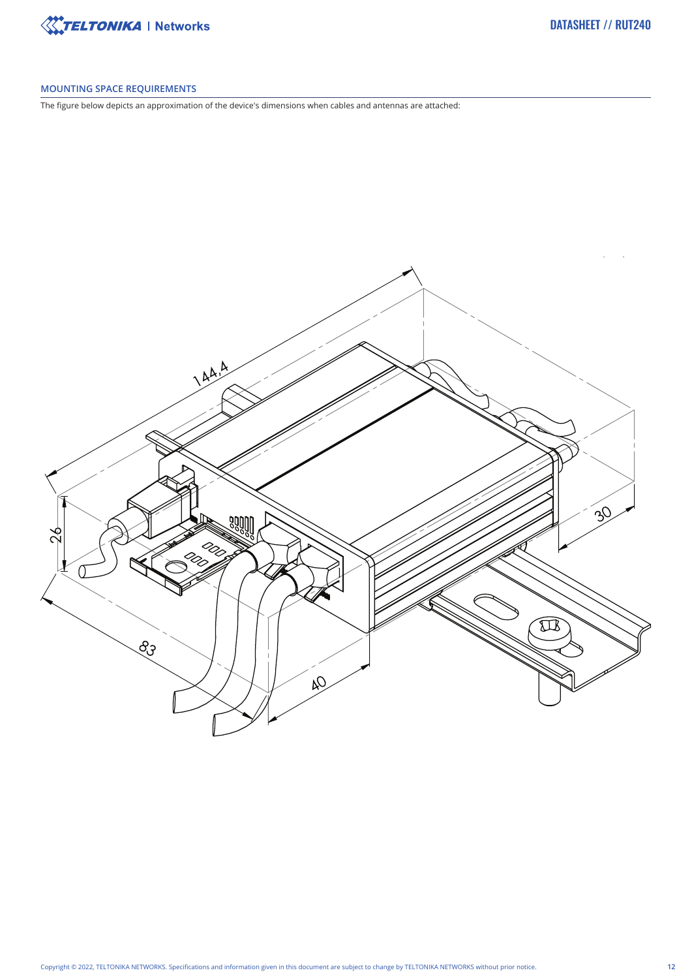

# **MOUNTING SPACE REQUIREMENTS**

The figure below depicts an approximation of the device's dimensions when cables and antennas are attached: